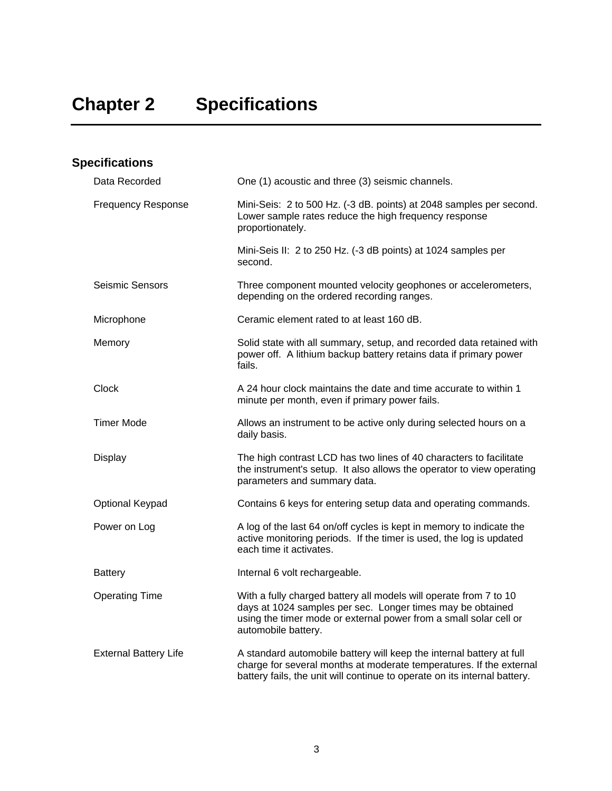| <b>Specifications</b>        |                                                                                                                                                                                                                             |
|------------------------------|-----------------------------------------------------------------------------------------------------------------------------------------------------------------------------------------------------------------------------|
| Data Recorded                | One (1) acoustic and three (3) seismic channels.                                                                                                                                                                            |
| <b>Frequency Response</b>    | Mini-Seis: 2 to 500 Hz. (-3 dB. points) at 2048 samples per second.<br>Lower sample rates reduce the high frequency response<br>proportionately.                                                                            |
|                              | Mini-Seis II: 2 to 250 Hz. (-3 dB points) at 1024 samples per<br>second.                                                                                                                                                    |
| <b>Seismic Sensors</b>       | Three component mounted velocity geophones or accelerometers,<br>depending on the ordered recording ranges.                                                                                                                 |
| Microphone                   | Ceramic element rated to at least 160 dB.                                                                                                                                                                                   |
| Memory                       | Solid state with all summary, setup, and recorded data retained with<br>power off. A lithium backup battery retains data if primary power<br>fails.                                                                         |
| Clock                        | A 24 hour clock maintains the date and time accurate to within 1<br>minute per month, even if primary power fails.                                                                                                          |
| Timer Mode                   | Allows an instrument to be active only during selected hours on a<br>daily basis.                                                                                                                                           |
| Display                      | The high contrast LCD has two lines of 40 characters to facilitate<br>the instrument's setup. It also allows the operator to view operating<br>parameters and summary data.                                                 |
| Optional Keypad              | Contains 6 keys for entering setup data and operating commands.                                                                                                                                                             |
| Power on Log                 | A log of the last 64 on/off cycles is kept in memory to indicate the<br>active monitoring periods. If the timer is used, the log is updated<br>each time it activates.                                                      |
| <b>Battery</b>               | Internal 6 volt rechargeable.                                                                                                                                                                                               |
| <b>Operating Time</b>        | With a fully charged battery all models will operate from 7 to 10<br>days at 1024 samples per sec. Longer times may be obtained<br>using the timer mode or external power from a small solar cell or<br>automobile battery. |
| <b>External Battery Life</b> | A standard automobile battery will keep the internal battery at full<br>charge for several months at moderate temperatures. If the external<br>battery fails, the unit will continue to operate on its internal battery.    |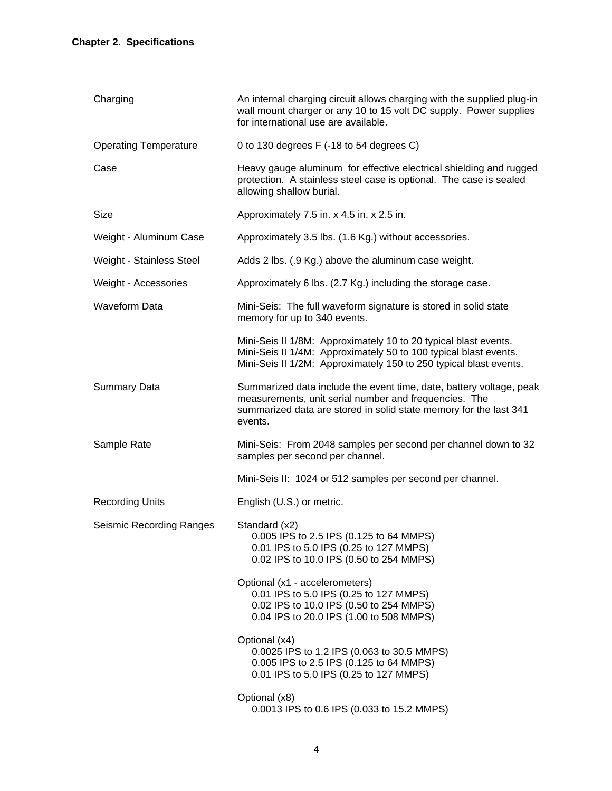| Charging                        | An internal charging circuit allows charging with the supplied plug-in<br>wall mount charger or any 10 to 15 volt DC supply. Power supplies<br>for international use are available.                          |
|---------------------------------|--------------------------------------------------------------------------------------------------------------------------------------------------------------------------------------------------------------|
| <b>Operating Temperature</b>    | 0 to 130 degrees F (-18 to 54 degrees C)                                                                                                                                                                     |
| Case                            | Heavy gauge aluminum for effective electrical shielding and rugged<br>protection. A stainless steel case is optional. The case is sealed<br>allowing shallow burial.                                         |
| Size                            | Approximately 7.5 in. x 4.5 in. x 2.5 in.                                                                                                                                                                    |
| Weight - Aluminum Case          | Approximately 3.5 lbs. (1.6 Kg.) without accessories.                                                                                                                                                        |
| Weight - Stainless Steel        | Adds 2 lbs. (.9 Kg.) above the aluminum case weight.                                                                                                                                                         |
| Weight - Accessories            | Approximately 6 lbs. (2.7 Kg.) including the storage case.                                                                                                                                                   |
| <b>Waveform Data</b>            | Mini-Seis: The full waveform signature is stored in solid state<br>memory for up to 340 events.                                                                                                              |
|                                 | Mini-Seis II 1/8M: Approximately 10 to 20 typical blast events.<br>Mini-Seis II 1/4M: Approximately 50 to 100 typical blast events.<br>Mini-Seis II 1/2M: Approximately 150 to 250 typical blast events.     |
| <b>Summary Data</b>             | Summarized data include the event time, date, battery voltage, peak<br>measurements, unit serial number and frequencies. The<br>summarized data are stored in solid state memory for the last 341<br>events. |
| Sample Rate                     | Mini-Seis: From 2048 samples per second per channel down to 32<br>samples per second per channel.                                                                                                            |
|                                 | Mini-Seis II: 1024 or 512 samples per second per channel.                                                                                                                                                    |
| <b>Recording Units</b>          | English (U.S.) or metric.                                                                                                                                                                                    |
| <b>Seismic Recording Ranges</b> | Standard (x2)<br>0.005 IPS to 2.5 IPS (0.125 to 64 MMPS)<br>0.01 IPS to 5.0 IPS (0.25 to 127 MMPS)<br>0.02 IPS to 10.0 IPS (0.50 to 254 MMPS)                                                                |
|                                 | Optional (x1 - accelerometers)<br>0.01 IPS to 5.0 IPS (0.25 to 127 MMPS)<br>0.02 IPS to 10.0 IPS (0.50 to 254 MMPS)<br>0.04 IPS to 20.0 IPS (1.00 to 508 MMPS)                                               |
|                                 | Optional (x4)<br>0.0025 IPS to 1.2 IPS (0.063 to 30.5 MMPS)<br>0.005 IPS to 2.5 IPS (0.125 to 64 MMPS)<br>0.01 IPS to 5.0 IPS (0.25 to 127 MMPS)                                                             |
|                                 | Optional (x8)<br>0.0013 IPS to 0.6 IPS (0.033 to 15.2 MMPS)                                                                                                                                                  |